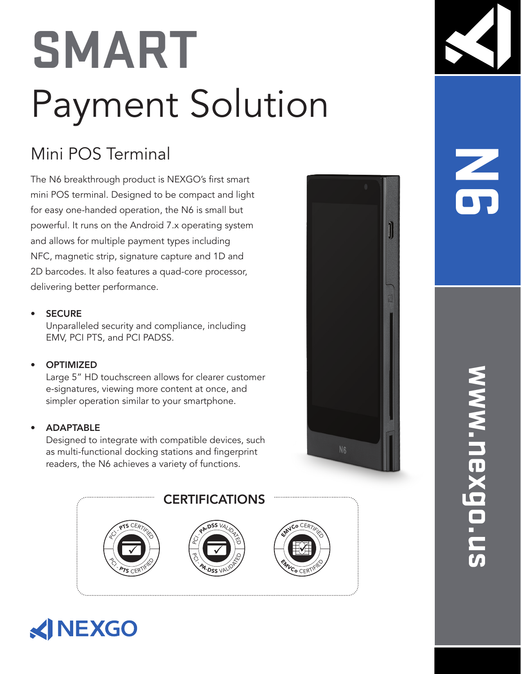### **SMART** Payment Solution

### Mini POS Terminal

The N6 breakthrough product is NEXGO's first smart mini POS terminal. Designed to be compact and light for easy one-handed operation, the N6 is small but powerful. It runs on the Android 7.x operating system and allows for multiple payment types including NFC, magnetic strip, signature capture and 1D and 2D barcodes. It also features a quad-core processor, delivering better performance.

### **SECURE**

Unparalleled security and compliance, including EMV, PCI PTS, and PCI PADSS.

### **OPTIMIZED**

Large 5" HD touchscreen allows for clearer customer e-signatures, viewing more content at once, and simpler operation similar to your smartphone.

### • ADAPTABLE

Designed to integrate with compatible devices, such as multi-functional docking stations and fingerprint readers, the N6 achieves a variety of functions.









## **N6**

# **www.nexgo.us** www.nexgo.u